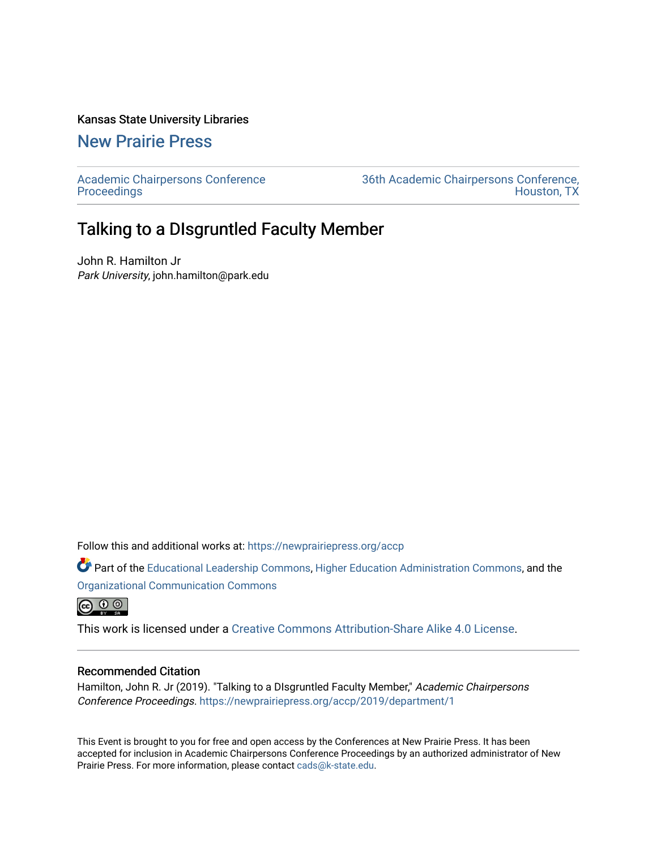#### Kansas State University Libraries

#### [New Prairie Press](https://newprairiepress.org/)

[Academic Chairpersons Conference](https://newprairiepress.org/accp)  **Proceedings** 

[36th Academic Chairpersons Conference,](https://newprairiepress.org/accp/2019)  [Houston, TX](https://newprairiepress.org/accp/2019) 

#### Talking to a DIsgruntled Faculty Member

John R. Hamilton Jr Park University, john.hamilton@park.edu

Follow this and additional works at: [https://newprairiepress.org/accp](https://newprairiepress.org/accp?utm_source=newprairiepress.org%2Faccp%2F2019%2Fdepartment%2F1&utm_medium=PDF&utm_campaign=PDFCoverPages) 

Part of the [Educational Leadership Commons,](http://network.bepress.com/hgg/discipline/1230?utm_source=newprairiepress.org%2Faccp%2F2019%2Fdepartment%2F1&utm_medium=PDF&utm_campaign=PDFCoverPages) [Higher Education Administration Commons,](http://network.bepress.com/hgg/discipline/791?utm_source=newprairiepress.org%2Faccp%2F2019%2Fdepartment%2F1&utm_medium=PDF&utm_campaign=PDFCoverPages) and the [Organizational Communication Commons](http://network.bepress.com/hgg/discipline/335?utm_source=newprairiepress.org%2Faccp%2F2019%2Fdepartment%2F1&utm_medium=PDF&utm_campaign=PDFCoverPages)

 $\bigcirc$   $\bigcirc$   $\bigcirc$ 

This work is licensed under a [Creative Commons Attribution-Share Alike 4.0 License.](https://creativecommons.org/licenses/by-sa/4.0/)

#### Recommended Citation

Hamilton, John R. Jr (2019). "Talking to a DIsgruntled Faculty Member," Academic Chairpersons Conference Proceedings.<https://newprairiepress.org/accp/2019/department/1>

This Event is brought to you for free and open access by the Conferences at New Prairie Press. It has been accepted for inclusion in Academic Chairpersons Conference Proceedings by an authorized administrator of New Prairie Press. For more information, please contact [cads@k-state.edu.](mailto:cads@k-state.edu)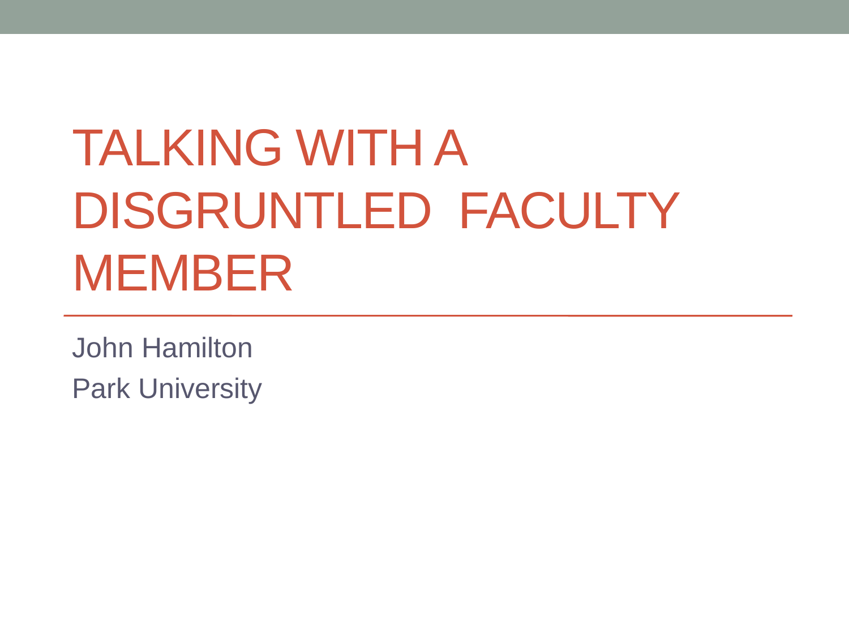# TALKING WITH A DISGRUNTLED FACULTY MEMBER

John Hamilton Park University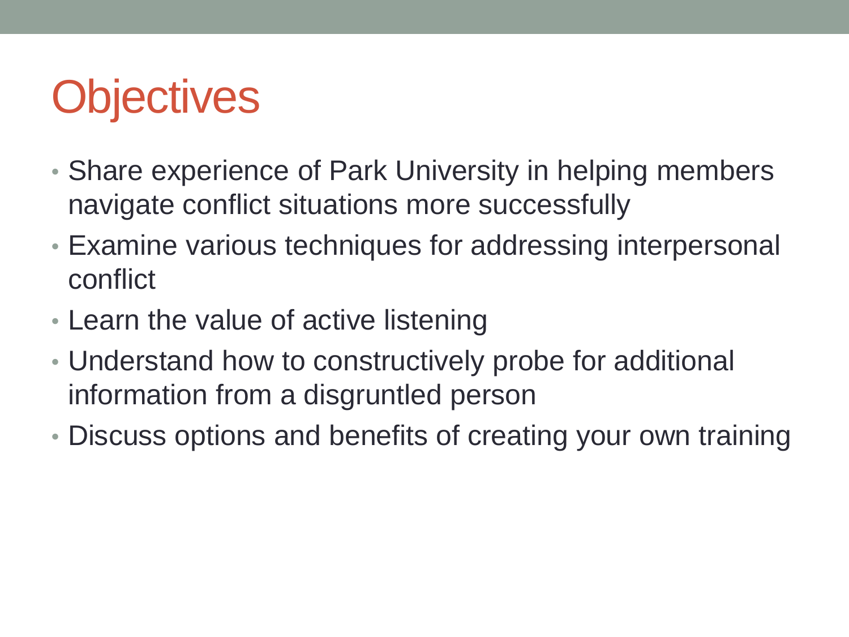# **Objectives**

- Share experience of Park University in helping members navigate conflict situations more successfully
- Examine various techniques for addressing interpersonal conflict
- Learn the value of active listening
- Understand how to constructively probe for additional information from a disgruntled person
- Discuss options and benefits of creating your own training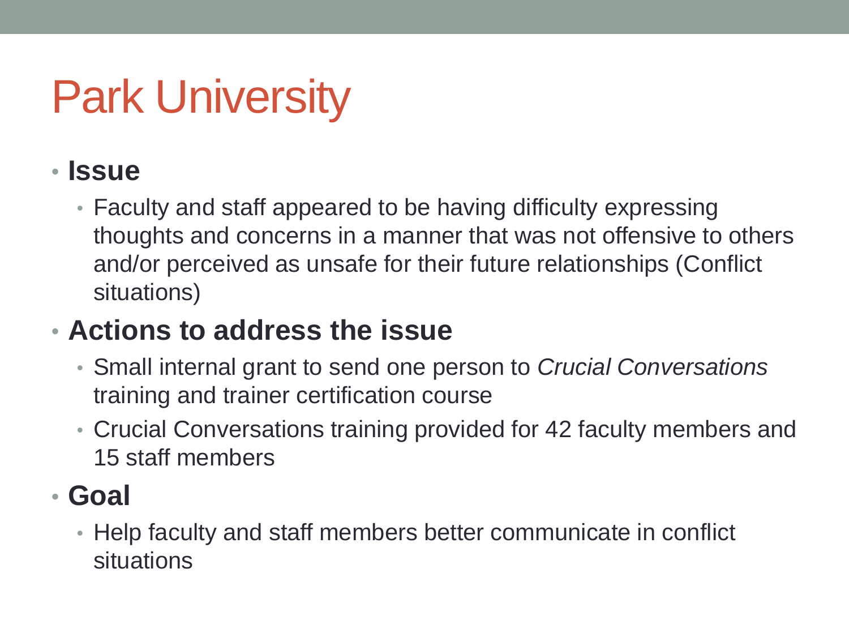#### • **Issue**

• Faculty and staff appeared to be having difficulty expressing thoughts and concerns in a manner that was not offensive to others and/or perceived as unsafe for their future relationships (Conflict situations)

#### • **Actions to address the issue**

- Small internal grant to send one person to *Crucial Conversations*  training and trainer certification course
- Crucial Conversations training provided for 42 faculty members and 15 staff members

#### • **Goal**

• Help faculty and staff members better communicate in conflict situations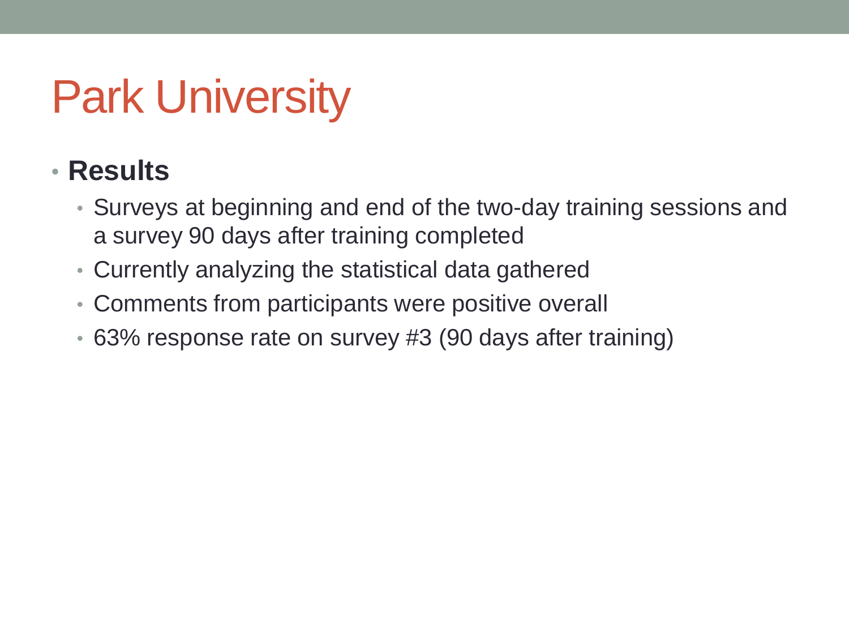#### • **Results**

- Surveys at beginning and end of the two-day training sessions and a survey 90 days after training completed
- Currently analyzing the statistical data gathered
- Comments from participants were positive overall
- 63% response rate on survey #3 (90 days after training)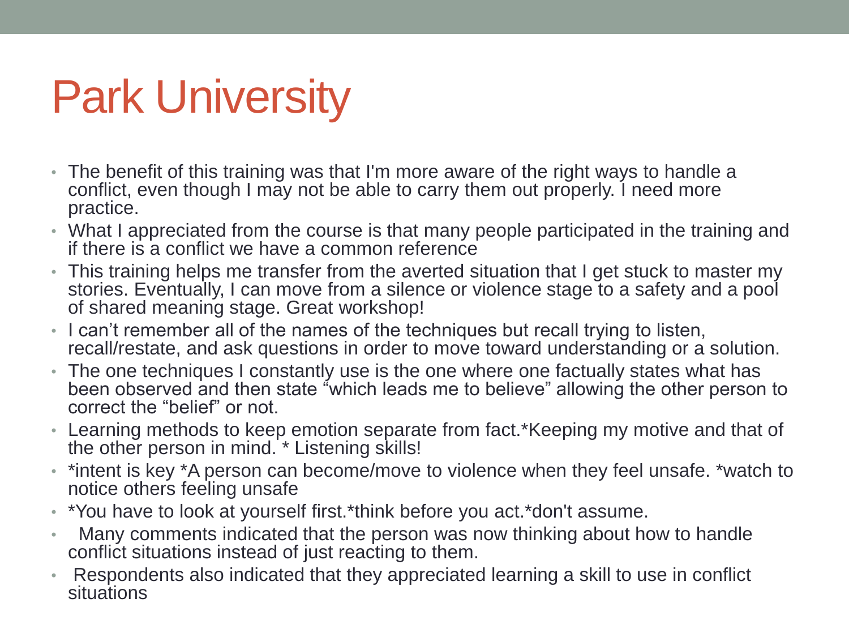- The benefit of this training was that I'm more aware of the right ways to handle a conflict, even though I may not be able to carry them out properly. I need more practice.
- What I appreciated from the course is that many people participated in the training and if there is a conflict we have a common reference
- This training helps me transfer from the averted situation that I get stuck to master my stories. Eventually, I can move from a silence or violence stage to a safety and a pool of shared meaning stage. Great workshop!
- I can't remember all of the names of the techniques but recall trying to listen, recall/restate, and ask questions in order to move toward understanding or a solution.
- The one techniques I constantly use is the one where one factually states what has been observed and then state "which leads me to believe" allowing the other person to correct the "belief" or not.
- Learning methods to keep emotion separate from fact.\*Keeping my motive and that of the other person in mind. \* Listening skills!
- \*intent is key \*A person can become/move to violence when they feel unsafe. \*watch to notice others feeling unsafe
- \*You have to look at yourself first.\*think before you act.\*don't assume.
- Many comments indicated that the person was now thinking about how to handle conflict situations instead of just reacting to them.
- Respondents also indicated that they appreciated learning a skill to use in conflict situations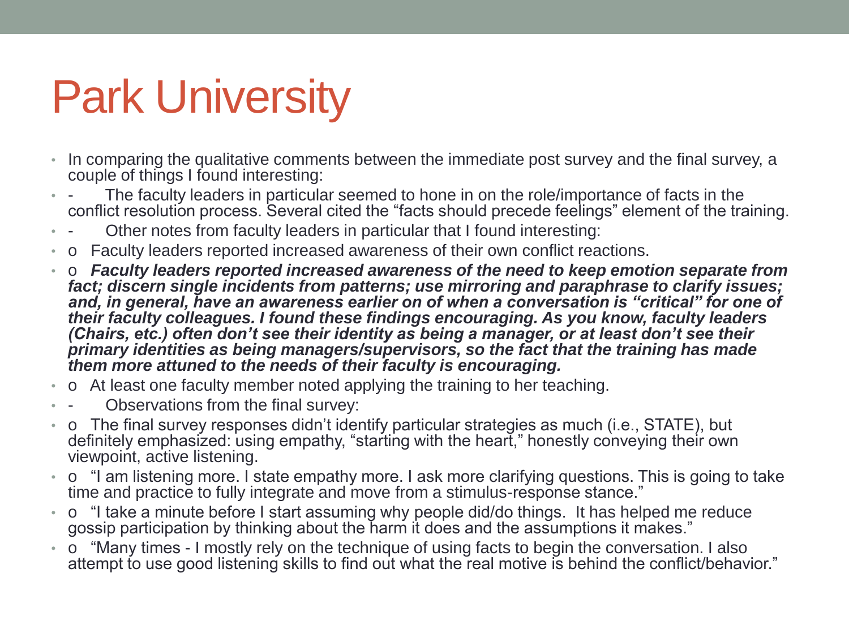- In comparing the qualitative comments between the immediate post survey and the final survey, a couple of things I found interesting:
- The faculty leaders in particular seemed to hone in on the role/importance of facts in the conflict resolution process. Several cited the "facts should precede feelings" element of the training.
- Other notes from faculty leaders in particular that I found interesting:
- o Faculty leaders reported increased awareness of their own conflict reactions.
- o *Faculty leaders reported increased awareness of the need to keep emotion separate from fact; discern single incidents from patterns; use mirroring and paraphrase to clarify issues; and, in general, have an awareness earlier on of when a conversation is "critical" for one of their faculty colleagues. I found these findings encouraging. As you know, faculty leaders (Chairs, etc.) often don't see their identity as being a manager, or at least don't see their primary identities as being managers/supervisors, so the fact that the training has made them more attuned to the needs of their faculty is encouraging.*
- o At least one faculty member noted applying the training to her teaching.
- Observations from the final survey:
- o The final survey responses didn't identify particular strategies as much (i.e., STATE), but definitely emphasized: using empathy, "starting with the heart," honestly conveying their own viewpoint, active listening.
- o "I am listening more. I state empathy more. I ask more clarifying questions. This is going to take time and practice to fully integrate and move from a stimulus-response stance."
- o "I take a minute before I start assuming why people did/do things. It has helped me reduce gossip participation by thinking about the harm it does and the assumptions it makes."
- o "Many times I mostly rely on the technique of using facts to begin the conversation. I also attempt to use good listening skills to find out what the real motive is behind the conflict/behavior."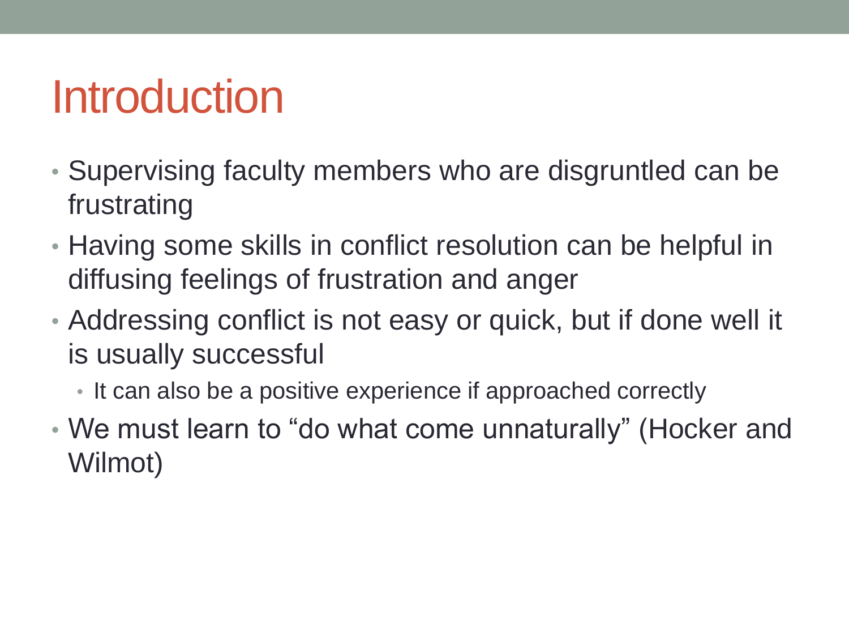## Introduction

- Supervising faculty members who are disgruntled can be frustrating
- Having some skills in conflict resolution can be helpful in diffusing feelings of frustration and anger
- Addressing conflict is not easy or quick, but if done well it is usually successful
	- It can also be a positive experience if approached correctly
- We must learn to "do what come unnaturally" (Hocker and Wilmot)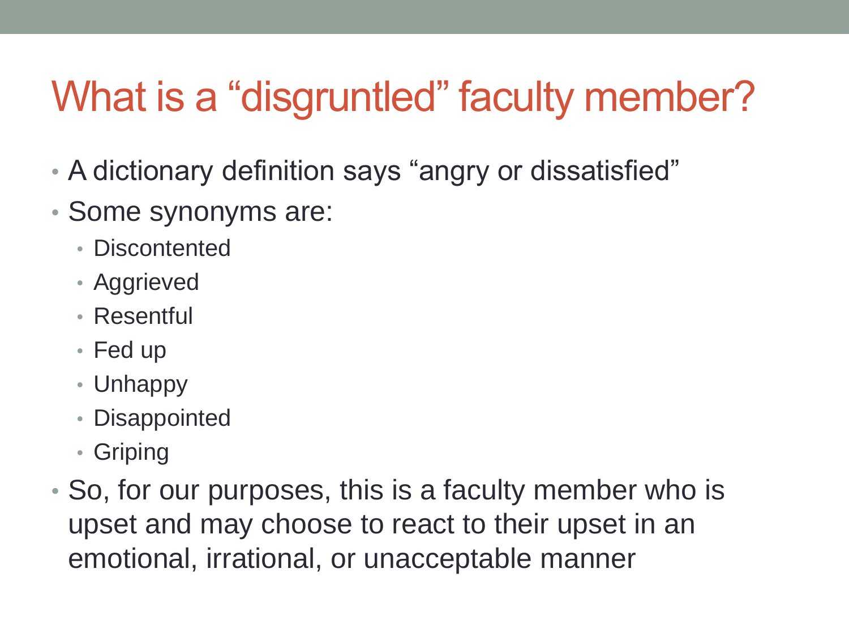#### What is a "disgruntled" faculty member?

- A dictionary definition says "angry or dissatisfied"
- Some synonyms are:
	- Discontented
	- Aggrieved
	- Resentful
	- Fed up
	- Unhappy
	- Disappointed
	- Griping
- So, for our purposes, this is a faculty member who is upset and may choose to react to their upset in an emotional, irrational, or unacceptable manner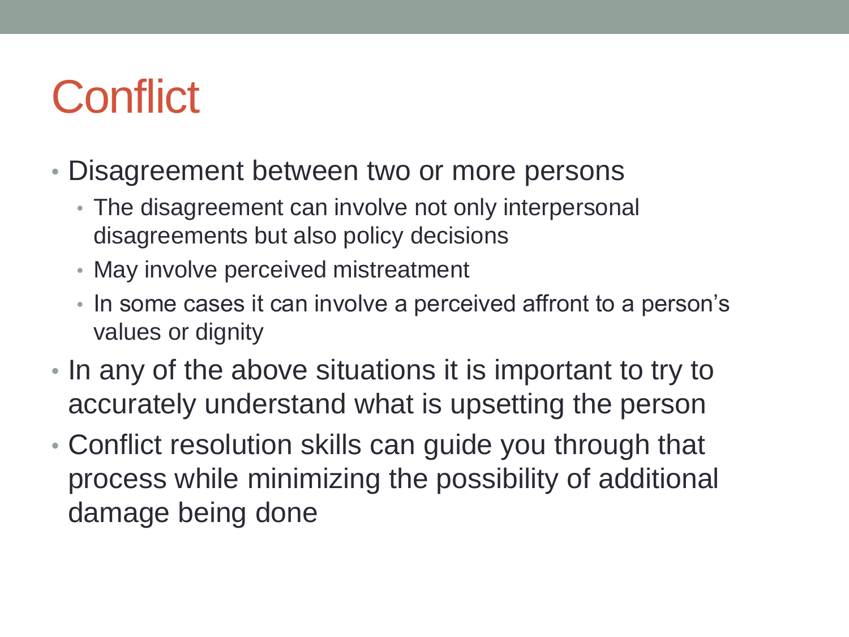## **Conflict**

- Disagreement between two or more persons
	- The disagreement can involve not only interpersonal disagreements but also policy decisions
	- May involve perceived mistreatment
	- In some cases it can involve a perceived affront to a person's values or dignity
- In any of the above situations it is important to try to accurately understand what is upsetting the person
- Conflict resolution skills can guide you through that process while minimizing the possibility of additional damage being done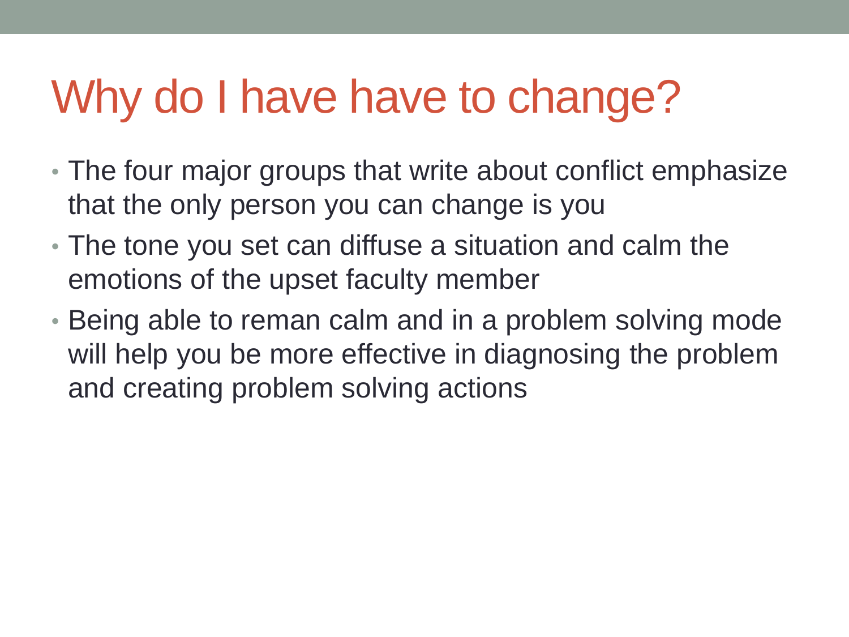## Why do I have have to change?

- The four major groups that write about conflict emphasize that the only person you can change is you
- The tone you set can diffuse a situation and calm the emotions of the upset faculty member
- Being able to reman calm and in a problem solving mode will help you be more effective in diagnosing the problem and creating problem solving actions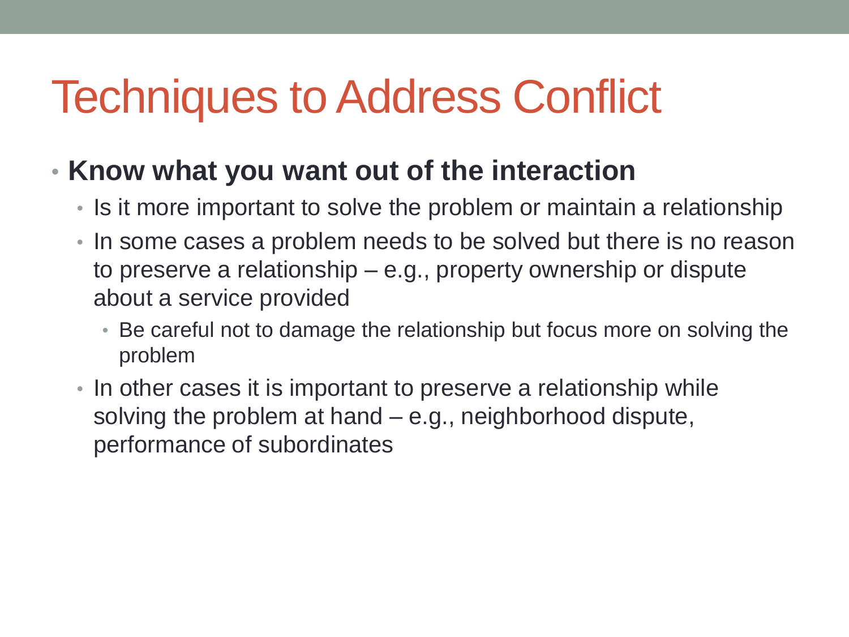### Techniques to Address Conflict

- **Know what you want out of the interaction**
	- Is it more important to solve the problem or maintain a relationship
	- In some cases a problem needs to be solved but there is no reason to preserve a relationship – e.g., property ownership or dispute about a service provided
		- Be careful not to damage the relationship but focus more on solving the problem
	- In other cases it is important to preserve a relationship while solving the problem at hand – e.g., neighborhood dispute, performance of subordinates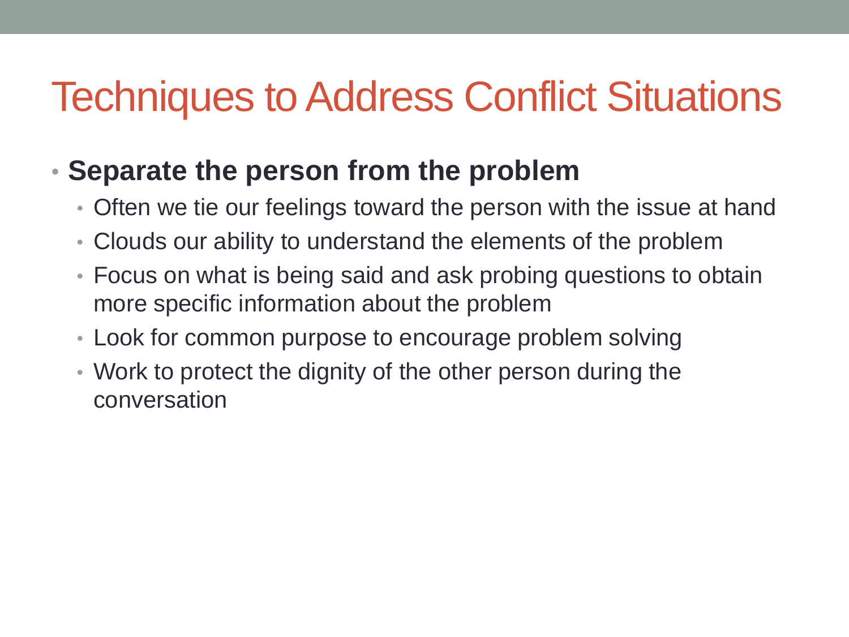#### Techniques to Address Conflict Situations

#### • **Separate the person from the problem**

- Often we tie our feelings toward the person with the issue at hand
- Clouds our ability to understand the elements of the problem
- Focus on what is being said and ask probing questions to obtain more specific information about the problem
- Look for common purpose to encourage problem solving
- Work to protect the dignity of the other person during the conversation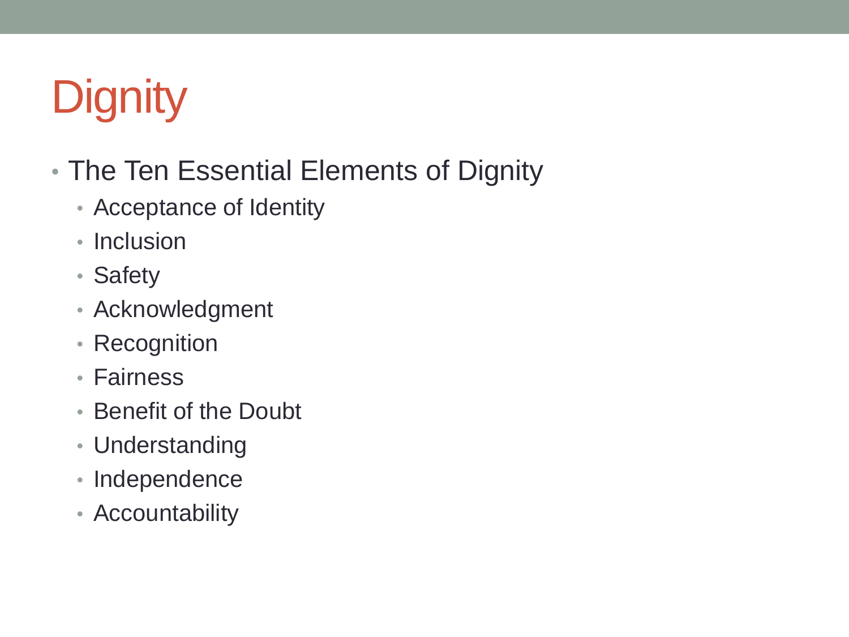# **Dignity**

- The Ten Essential Elements of Dignity
	- Acceptance of Identity
	- Inclusion
	- Safety
	- Acknowledgment
	- Recognition
	- Fairness
	- Benefit of the Doubt
	- Understanding
	- Independence
	- Accountability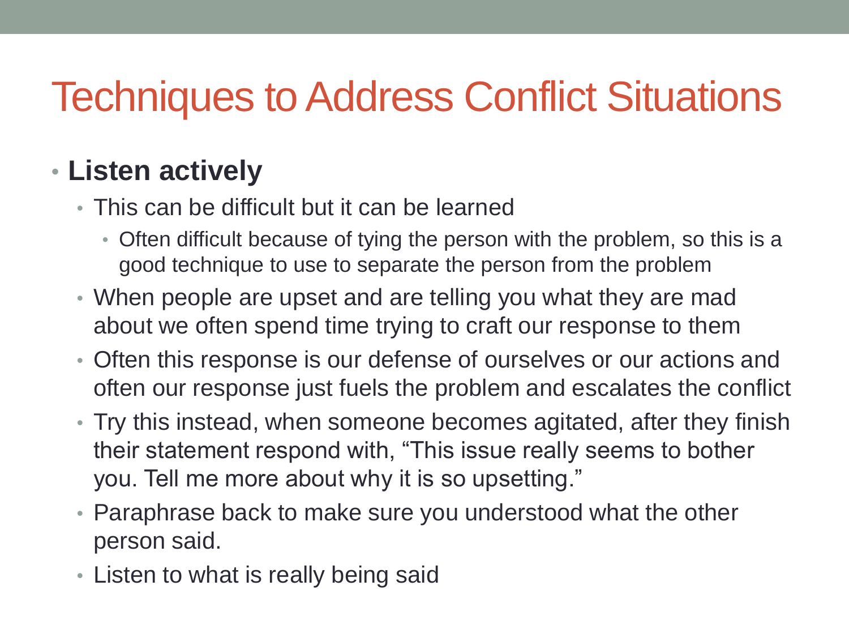#### Techniques to Address Conflict Situations

#### • **Listen actively**

- This can be difficult but it can be learned
	- Often difficult because of tying the person with the problem, so this is a good technique to use to separate the person from the problem
- When people are upset and are telling you what they are mad about we often spend time trying to craft our response to them
- Often this response is our defense of ourselves or our actions and often our response just fuels the problem and escalates the conflict
- Try this instead, when someone becomes agitated, after they finish their statement respond with, "This issue really seems to bother you. Tell me more about why it is so upsetting."
- Paraphrase back to make sure you understood what the other person said.
- Listen to what is really being said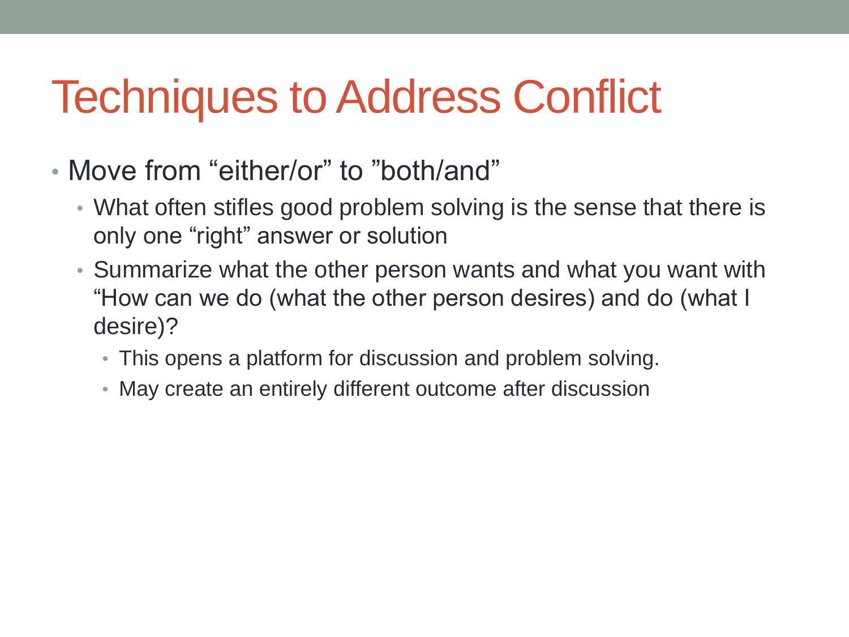## Techniques to Address Conflict

- Move from "either/or" to "both/and"
	- What often stifles good problem solving is the sense that there is only one "right" answer or solution
	- Summarize what the other person wants and what you want with "How can we do (what the other person desires) and do (what I desire)?
		- This opens a platform for discussion and problem solving.
		- May create an entirely different outcome after discussion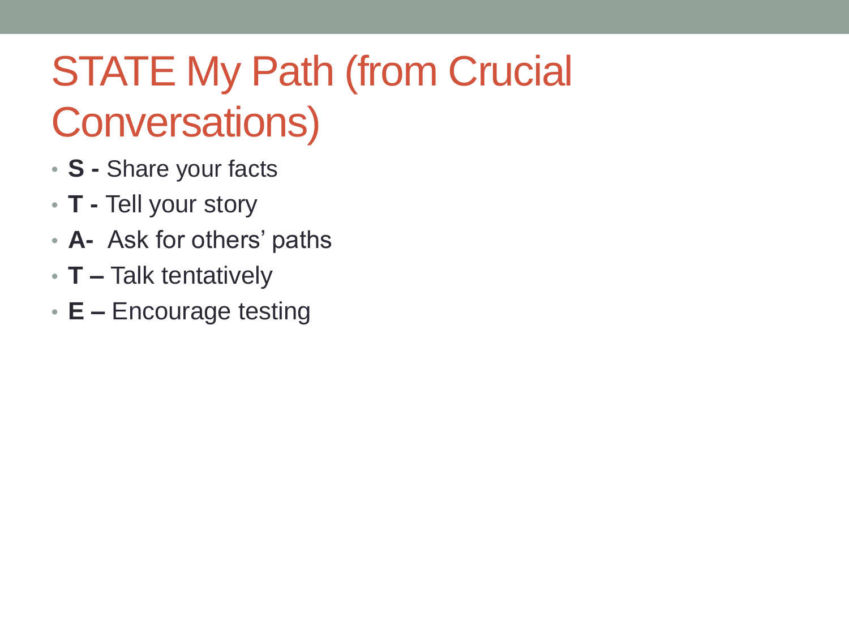# STATE My Path (from Crucial

#### Conversations)

- **S -** Share your facts
- **T -** Tell your story
- **A-** Ask for others' paths
- **T –** Talk tentatively
- **E –** Encourage testing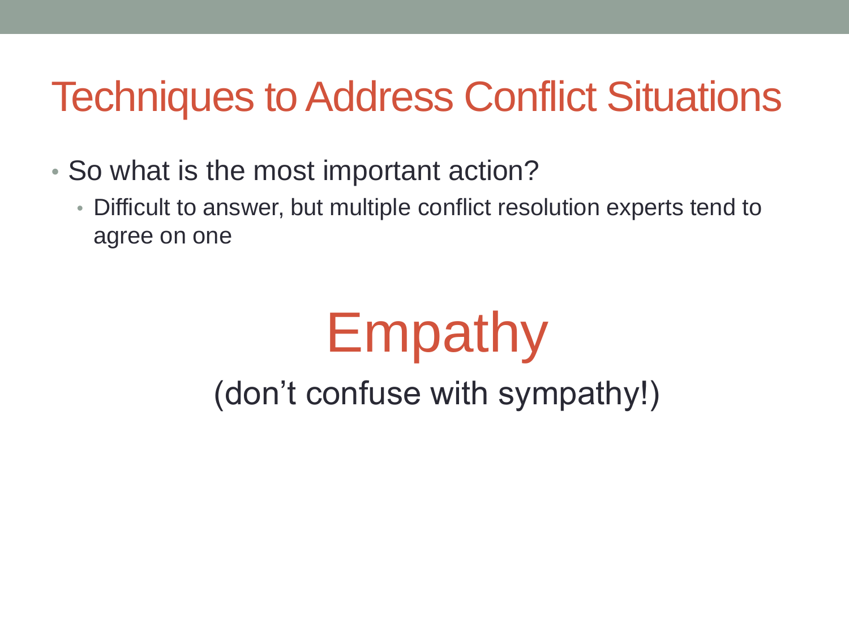#### Techniques to Address Conflict Situations

- So what is the most important action?
	- Difficult to answer, but multiple conflict resolution experts tend to agree on one

# Empathy (don't confuse with sympathy!)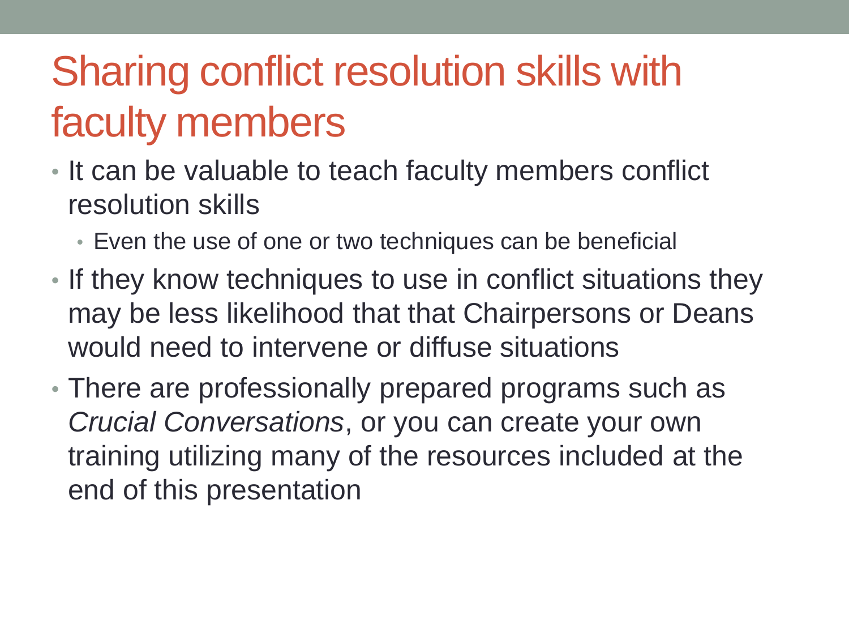### Sharing conflict resolution skills with faculty members

- It can be valuable to teach faculty members conflict resolution skills
	- Even the use of one or two techniques can be beneficial
- If they know techniques to use in conflict situations they may be less likelihood that that Chairpersons or Deans would need to intervene or diffuse situations
- There are professionally prepared programs such as *Crucial Conversations*, or you can create your own training utilizing many of the resources included at the end of this presentation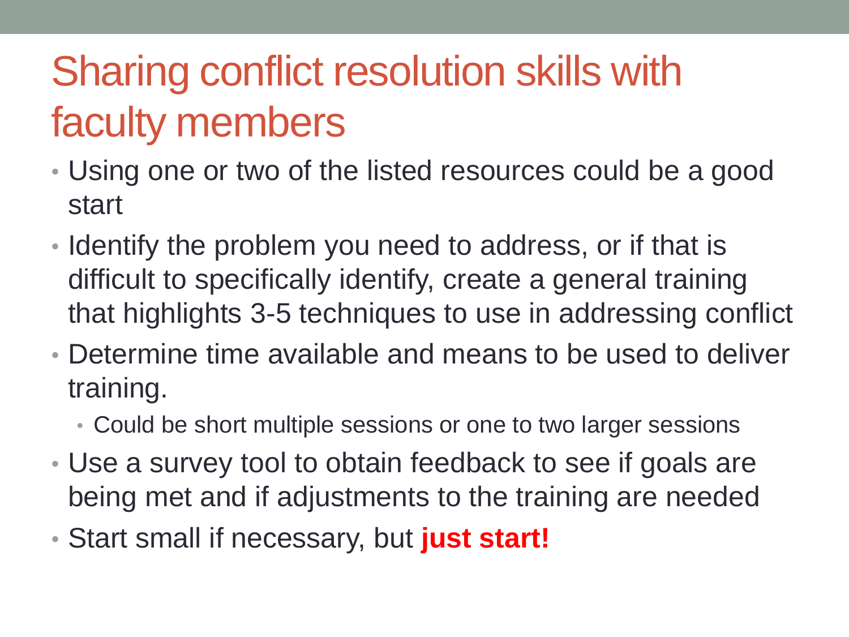### Sharing conflict resolution skills with faculty members

- Using one or two of the listed resources could be a good start
- Identify the problem you need to address, or if that is difficult to specifically identify, create a general training that highlights 3-5 techniques to use in addressing conflict
- Determine time available and means to be used to deliver training.
	- Could be short multiple sessions or one to two larger sessions
- Use a survey tool to obtain feedback to see if goals are being met and if adjustments to the training are needed
- Start small if necessary, but **just start!**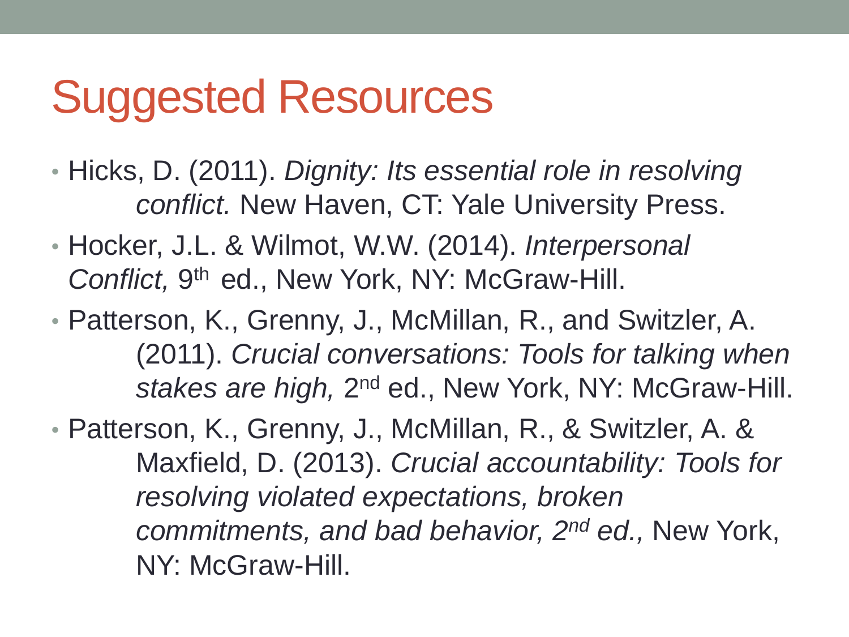## Suggested Resources

- Hicks, D. (2011). *Dignity: Its essential role in resolving conflict.* New Haven, CT: Yale University Press.
- Hocker, J.L. & Wilmot, W.W. (2014). *Interpersonal*  Conflict, 9<sup>th</sup> ed., New York, NY: McGraw-Hill.
- Patterson, K., Grenny, J., McMillan, R., and Switzler, A. (2011). *Crucial conversations: Tools for talking when*  stakes are high, 2<sup>nd</sup> ed., New York, NY: McGraw-Hill.
- Patterson, K., Grenny, J., McMillan, R., & Switzler, A. & Maxfield, D. (2013). *Crucial accountability: Tools for resolving violated expectations, broken commitments, and bad behavior, 2nd ed.,* New York, NY: McGraw-Hill.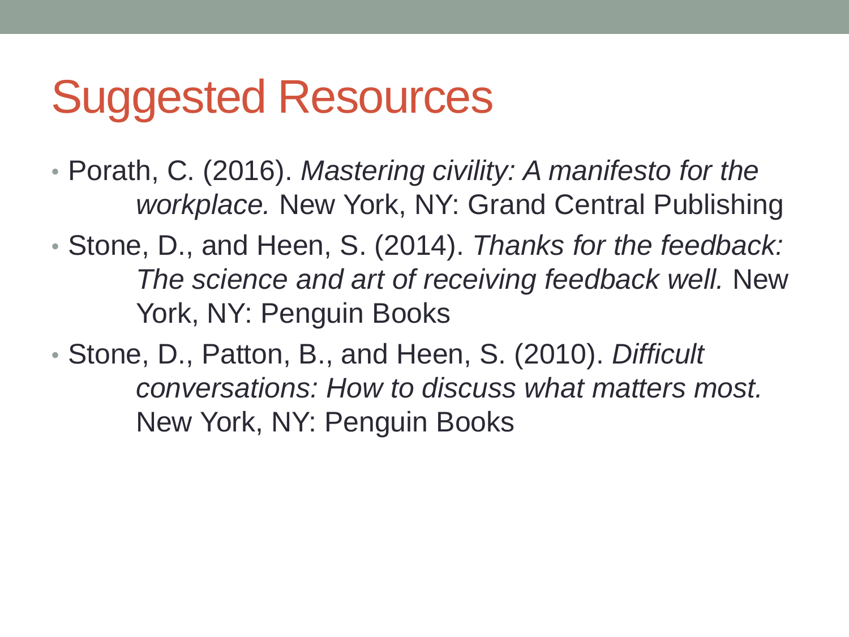## Suggested Resources

• Porath, C. (2016). *Mastering civility: A manifesto for the workplace.* New York, NY: Grand Central Publishing

• Stone, D., and Heen, S. (2014). *Thanks for the feedback: The science and art of receiving feedback well.* New York, NY: Penguin Books

• Stone, D., Patton, B., and Heen, S. (2010). *Difficult conversations: How to discuss what matters most.*  New York, NY: Penguin Books